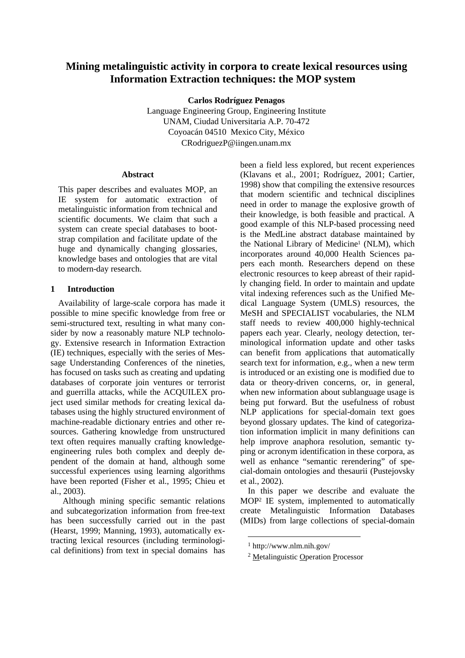# **Mining metalinguistic activity in corpora to create lexical resources using Information Extraction techniques: the MOP system**

**Carlos Rodríguez Penagos**

Language Engineering Group, Engineering Institute UNAM, Ciudad Universitaria A.P. 70-472 Coyoacán 04510 Mexico City, México CRodriguezP@iingen.unam.mx

#### **Abstract**

This paper describes and evaluates MOP, an IE system for automatic extraction of metalinguistic information from technical and scientific documents. We claim that such a system can create special databases to bootstrap compilation and facilitate update of the huge and dynamically changing glossaries, knowledge bases and ontologies that are vital to modern-day research.

#### **1 Introduction**

Availability of large-scale corpora has made it possible to mine specific knowledge from free or semi-structured text, resulting in what many consider by now a reasonably mature NLP technology. Extensive research in Information Extraction (IE) techniques, especially with the series of Message Understanding Conferences of the nineties, has focused on tasks such as creating and updating databases of corporate join ventures or terrorist and guerrilla attacks, while the ACQUILEX project used similar methods for creating lexical databases using the highly structured environment of machine-readable dictionary entries and other resources. Gathering knowledge from unstructured text often requires manually crafting knowledgeengineering rules both complex and deeply dependent of the domain at hand, although some successful experiences using learning algorithms have been reported (Fisher et al., 1995; Chieu et al., 2003).

 Although mining specific semantic relations and subcategorization information from free-text has been successfully carried out in the past (Hearst, 1999; Manning, 1993), automatically extracting lexical resources (including terminological definitions) from text in special domains has

been a field less explored, but recent experiences (Klavans et al., 2001; Rodríguez, 2001; Cartier, 1998) show that compiling the extensive resources that modern scientific and technical disciplines need in order to manage the explosive growth of their knowledge, is both feasible and practical. A good example of this NLP-based processing need is the MedLine abstract database maintained by the National Library of Medicine<sup>1</sup> (NLM), which incorporates around 40,000 Health Sciences papers each month. Researchers depend on these electronic resources to keep abreast of their rapidly changing field. In order to maintain and update vital indexing references such as the Unified Medical Language System (UMLS) resources, the MeSH and SPECIALIST vocabularies, the NLM staff needs to review 400,000 highly-technical papers each year. Clearly, neology detection, terminological information update and other tasks can benefit from applications that automatically search text for information, e.g., when a new term is introduced or an existing one is modified due to data or theory-driven concerns, or, in general, when new information about sublanguage usage is being put forward. But the usefulness of robust NLP applications for special-domain text goes beyond glossary updates. The kind of categorization information implicit in many definitions can help improve anaphora resolution, semantic typing or acronym identification in these corpora, as well as enhance "semantic rerendering" of special-domain ontologies and thesaurii (Pustejovsky et al., 2002).

In this paper we describe and evaluate the MOP<sup>2</sup> IE system, implemented to automatically create Metalinguistic Information Databases (MIDs) from large collections of special-domain

<sup>1</sup> http://www.nlm.nih.gov/

<sup>2</sup> Metalinguistic Operation Processor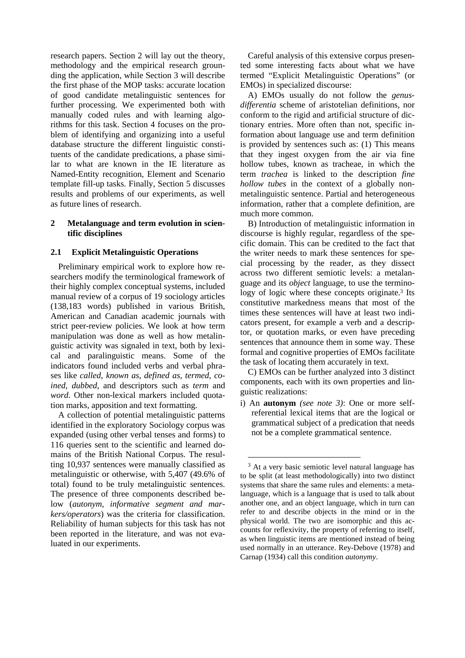research papers. Section 2 will lay out the theory, methodology and the empirical research grounding the application, while Section 3 will describe the first phase of the MOP tasks: accurate location of good candidate metalinguistic sentences for further processing. We experimented both with manually coded rules and with learning algorithms for this task. Section 4 focuses on the problem of identifying and organizing into a useful database structure the different linguistic constituents of the candidate predications, a phase similar to what are known in the IE literature as Named-Entity recognition, Element and Scenario template fill-up tasks. Finally, Section 5 discusses results and problems of our experiments, as well as future lines of research.

# **2 Metalanguage and term evolution in scientific disciplines**

#### **2.1 Explicit Metalinguistic Operations**

Preliminary empirical work to explore how researchers modify the terminological framework of their highly complex conceptual systems, included manual review of a corpus of 19 sociology articles (138,183 words) published in various British, American and Canadian academic journals with strict peer-review policies. We look at how term manipulation was done as well as how metalinguistic activity was signaled in text, both by lexical and paralinguistic means. Some of the indicators found included verbs and verbal phrases like *called*, *known as*, *defined as*, *termed*, *coined*, *dubbed*, and descriptors such as *term* and *word*. Other non-lexical markers included quotation marks, apposition and text formatting.

A collection of potential metalinguistic patterns identified in the exploratory Sociology corpus was expanded (using other verbal tenses and forms) to 116 queries sent to the scientific and learned domains of the British National Corpus. The resulting 10,937 sentences were manually classified as metalinguistic or otherwise, with 5,407 (49.6% of total) found to be truly metalinguistic sentences. The presence of three components described below (*autonym, informative segment and markers/operators*) was the criteria for classification. Reliability of human subjects for this task has not been reported in the literature, and was not evaluated in our experiments.

Careful analysis of this extensive corpus presented some interesting facts about what we have termed "Explicit Metalinguistic Operations" (or EMOs) in specialized discourse:

A) EMOs usually do not follow the *genusdifferentia* scheme of aristotelian definitions, nor conform to the rigid and artificial structure of dictionary entries. More often than not, specific information about language use and term definition is provided by sentences such as: (1) This means that they ingest oxygen from the air via fine hollow tubes, known as tracheae, in which the term *trachea* is linked to the description *fine hollow tubes* in the context of a globally nonmetalinguistic sentence. Partial and heterogeneous information, rather that a complete definition, are much more common.

B) Introduction of metalinguistic information in discourse is highly regular, regardless of the specific domain. This can be credited to the fact that the writer needs to mark these sentences for special processing by the reader, as they dissect across two different semiotic levels: a metalanguage and its *object* language, to use the terminology of logic where these concepts originate.<sup>3</sup> Its constitutive markedness means that most of the times these sentences will have at least two indicators present, for example a verb and a descriptor, or quotation marks, or even have preceding sentences that announce them in some way. These formal and cognitive properties of EMOs facilitate the task of locating them accurately in text.

C) EMOs can be further analyzed into 3 distinct components, each with its own properties and linguistic realizations:

i) An **autonym** *(see note 3)*: One or more selfreferential lexical items that are the logical or grammatical subject of a predication that needs not be a complete grammatical sentence.

<sup>&</sup>lt;sup>3</sup> At a very basic semiotic level natural language has to be split (at least methodologically) into two distinct systems that share the same rules and elements: a metalanguage, which is a language that is used to talk about another one, and an object language, which in turn can refer to and describe objects in the mind or in the physical world. The two are isomorphic and this accounts for reflexivity, the property of referring to itself, as when linguistic items are mentioned instead of being used normally in an utterance. Rey-Debove (1978) and Carnap (1934) call this condition *autonymy*.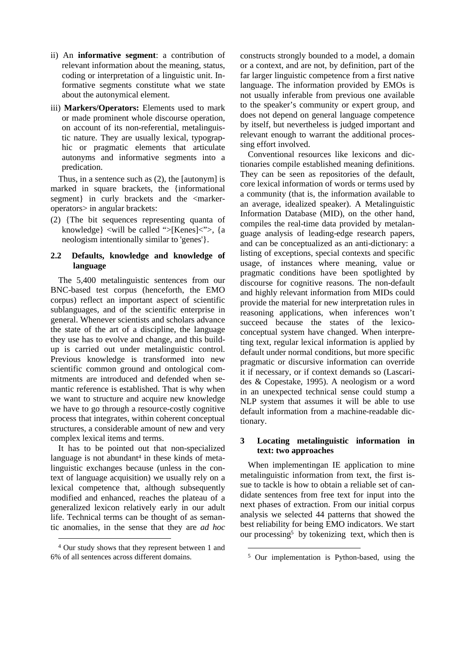- ii) An **informative segment**: a contribution of relevant information about the meaning, status, coding or interpretation of a linguistic unit. Informative segments constitute what we state about the autonymical element.
- iii) **Markers/Operators:** Elements used to mark or made prominent whole discourse operation, on account of its non-referential, metalinguistic nature. They are usually lexical, typographic or pragmatic elements that articulate autonyms and informative segments into a predication.

Thus, in a sentence such as (2), the [autonym] is marked in square brackets, the {informational segment} in curly brackets and the <markeroperators> in angular brackets:

(2) {The bit sequences representing quanta of knowledge} <will be called ">[Kenes]<">, {a neologism intentionally similar to 'genes'}.

## **2.2 Defaults, knowledge and knowledge of language**

The 5,400 metalinguistic sentences from our BNC-based test corpus (henceforth, the EMO corpus) reflect an important aspect of scientific sublanguages, and of the scientific enterprise in general. Whenever scientists and scholars advance the state of the art of a discipline, the language they use has to evolve and change, and this buildup is carried out under metalinguistic control. Previous knowledge is transformed into new scientific common ground and ontological commitments are introduced and defended when semantic reference is established. That is why when we want to structure and acquire new knowledge we have to go through a resource-costly cognitive process that integrates, within coherent conceptual structures, a considerable amount of new and very complex lexical items and terms.

It has to be pointed out that non-specialized language is not abundant<sup>4</sup> in these kinds of metalinguistic exchanges because (unless in the context of language acquisition) we usually rely on a lexical competence that, although subsequently modified and enhanced, reaches the plateau of a generalized lexicon relatively early in our adult life. Technical terms can be thought of as semantic anomalies, in the sense that they are *ad hoc*

 $\overline{a}$ 

constructs strongly bounded to a model, a domain or a context, and are not, by definition, part of the far larger linguistic competence from a first native language. The information provided by EMOs is not usually inferable from previous one available to the speaker's community or expert group, and does not depend on general language competence by itself, but nevertheless is judged important and relevant enough to warrant the additional processing effort involved.

Conventional resources like lexicons and dictionaries compile established meaning definitions. They can be seen as repositories of the default, core lexical information of words or terms used by a community (that is, the information available to an average, idealized speaker). A Metalinguistic Information Database (MID), on the other hand, compiles the real-time data provided by metalanguage analysis of leading-edge research papers, and can be conceptualized as an anti-dictionary: a listing of exceptions, special contexts and specific usage, of instances where meaning, value or pragmatic conditions have been spotlighted by discourse for cognitive reasons. The non-default and highly relevant information from MIDs could provide the material for new interpretation rules in reasoning applications, when inferences won't succeed because the states of the lexicoconceptual system have changed. When interpreting text, regular lexical information is applied by default under normal conditions, but more specific pragmatic or discursive information can override it if necessary, or if context demands so (Lascarides & Copestake, 1995). A neologism or a word in an unexpected technical sense could stump a NLP system that assumes it will be able to use default information from a machine-readable dictionary.

# **3 Locating metalinguistic information in text: two approaches**

When implementingan IE application to mine metalinguistic information from text, the first issue to tackle is how to obtain a reliable set of candidate sentences from free text for input into the next phases of extraction. From our initial corpus analysis we selected 44 patterns that showed the best reliability for being EMO indicators. We start our processing<sup>5</sup> by tokenizing text, which then is

 $\overline{a}$ 

<sup>4</sup> Our study shows that they represent between 1 and 6% of all sentences across different domains.

<sup>5</sup> Our implementation is Python-based, using the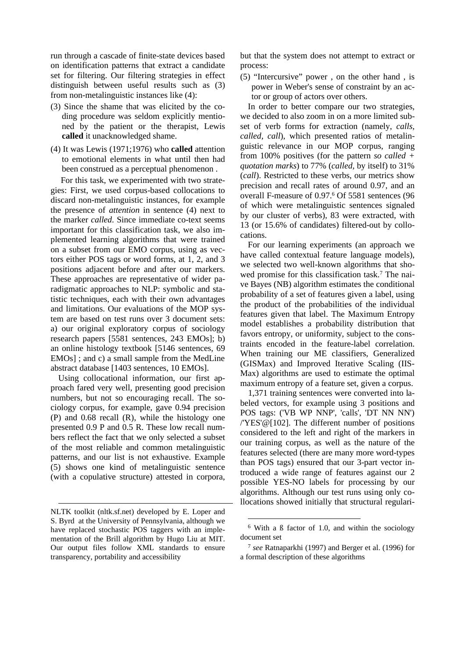run through a cascade of finite-state devices based on identification patterns that extract a candidate set for filtering. Our filtering strategies in effect distinguish between useful results such as (3) from non-metalinguistic instances like (4):

- (3) Since the shame that was elicited by the coding procedure was seldom explicitly mentioned by the patient or the therapist, Lewis **called** it unacknowledged shame.
- (4) It was Lewis (1971;1976) who **called** attention to emotional elements in what until then had been construed as a perceptual phenomenon .

 For this task, we experimented with two strategies: First, we used corpus-based collocations to discard non-metalinguistic instances, for example the presence of *attention* in sentence (4) next to the marker *called*. Since immediate co-text seems important for this classification task, we also implemented learning algorithms that were trained on a subset from our EMO corpus, using as vectors either POS tags or word forms, at 1, 2, and 3 positions adjacent before and after our markers. These approaches are representative of wider paradigmatic approaches to NLP: symbolic and statistic techniques, each with their own advantages and limitations. Our evaluations of the MOP system are based on test runs over 3 document sets: a) our original exploratory corpus of sociology research papers [5581 sentences, 243 EMOs]; b) an online histology textbook [5146 sentences, 69 EMOs] ; and c) a small sample from the MedLine abstract database [1403 sentences, 10 EMOs].

Using collocational information, our first approach fared very well, presenting good precision numbers, but not so encouraging recall. The sociology corpus, for example, gave 0.94 precision (P) and 0.68 recall (R), while the histology one presented 0.9 P and 0.5 R. These low recall numbers reflect the fact that we only selected a subset of the most reliable and common metalinguistic patterns, and our list is not exhaustive. Example (5) shows one kind of metalinguistic sentence (with a copulative structure) attested in corpora,

 $\overline{a}$ 

but that the system does not attempt to extract or process:

(5) "Intercursive" power , on the other hand , is power in Weber's sense of constraint by an actor or group of actors over others.

In order to better compare our two strategies, we decided to also zoom in on a more limited subset of verb forms for extraction (namely, *calls, called, call*), which presented ratios of metalinguistic relevance in our MOP corpus, ranging from 100% positives (for the pattern *so called + quotation marks*) to 77% (*called,* by itself) to 31% (*call*). Restricted to these verbs, our metrics show precision and recall rates of around 0.97, and an overall F-measure of 0.97. 6 Of 5581 sentences (96 of which were metalinguistic sentences signaled by our cluster of verbs), 83 were extracted, with 13 (or 15.6% of candidates) filtered-out by collocations.

For our learning experiments (an approach we have called contextual feature language models), we selected two well-known algorithms that showed promise for this classification task.<sup>7</sup> The naive Bayes (NB) algorithm estimates the conditional probability of a set of features given a label, using the product of the probabilities of the individual features given that label. The Maximum Entropy model establishes a probability distribution that favors entropy, or uniformity, subject to the constraints encoded in the feature-label correlation. When training our ME classifiers, Generalized (GISMax) and Improved Iterative Scaling (IIS-Max) algorithms are used to estimate the optimal maximum entropy of a feature set, given a corpus.

1,371 training sentences were converted into labeled vectors, for example using 3 positions and POS tags: ('VB WP NNP', 'calls', 'DT NN NN') /'YES'@[102]. The different number of positions considered to the left and right of the markers in our training corpus, as well as the nature of the features selected (there are many more word-types than POS tags) ensured that our 3-part vector introduced a wide range of features against our 2 possible YES-NO labels for processing by our algorithms. Although our test runs using only collocations showed initially that structural regulari-

NLTK toolkit (nltk.sf.net) developed by E. Loper and S. Byrd at the University of Pennsylvania, although we have replaced stochastic POS taggers with an implementation of the Brill algorithm by Hugo Liu at MIT. Our output files follow XML standards to ensure transparency, portability and accessibility

<sup>6</sup> With a ß factor of 1.0, and within the sociology document set

<sup>7</sup> *see* Ratnaparkhi (1997) and Berger et al. (1996) for a formal description of these algorithms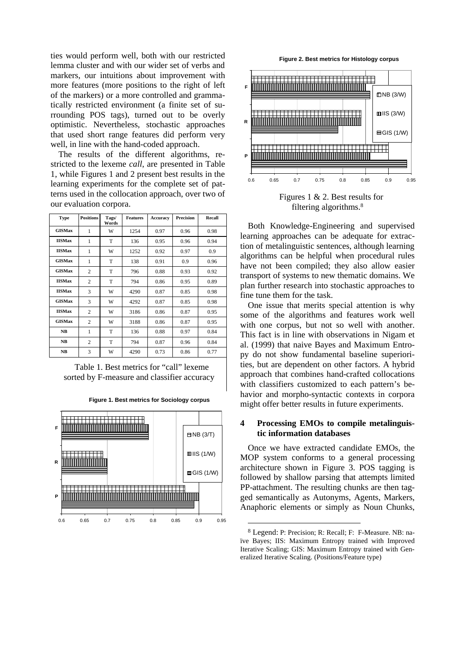ties would perform well, both with our restricted lemma cluster and with our wider set of verbs and markers, our intuitions about improvement with more features (more positions to the right of left of the markers) or a more controlled and grammatically restricted environment (a finite set of surrounding POS tags), turned out to be overly optimistic. Nevertheless, stochastic approaches that used short range features did perform very well, in line with the hand-coded approach.

The results of the different algorithms, restricted to the lexeme *call*, are presented in Table 1, while Figures 1 and 2 present best results in the learning experiments for the complete set of patterns used in the collocation approach, over two of our evaluation corpora.

| <b>Type</b>   | <b>Positions</b> | Tags/<br>Words | <b>Features</b> | Accuracy | <b>Precision</b> | Recall |
|---------------|------------------|----------------|-----------------|----------|------------------|--------|
| <b>GISMax</b> | 1                | W              | 1254            | 0.97     | 0.96             | 0.98   |
| <b>IISMax</b> | 1                | T              | 136             | 0.95     | 0.96             | 0.94   |
| <b>IISMax</b> | 1                | W              | 1252            | 0.92     | 0.97             | 0.9    |
| <b>GISMax</b> | 1                | T              | 138             | 0.91     | 0.9              | 0.96   |
| <b>GISMax</b> | $\overline{2}$   | T              | 796             | 0.88     | 0.93             | 0.92   |
| <b>IISMax</b> | $\overline{c}$   | T              | 794             | 0.86     | 0.95             | 0.89   |
| <b>IISMax</b> | 3                | W              | 4290            | 0.87     | 0.85             | 0.98   |
| <b>GISMax</b> | 3                | W              | 4292            | 0.87     | 0.85             | 0.98   |
| <b>IISMax</b> | $\overline{c}$   | W              | 3186            | 0.86     | 0.87             | 0.95   |
| <b>GISMax</b> | $\overline{c}$   | W              | 3188            | 0.86     | 0.87             | 0.95   |
| <b>NB</b>     | 1                | T              | 136             | 0.88     | 0.97             | 0.84   |
| <b>NB</b>     | $\overline{c}$   | T              | 794             | 0.87     | 0.96             | 0.84   |
| <b>NB</b>     | 3                | W              | 4290            | 0.73     | 0.86             | 0.77   |

Table 1. Best metrics for "call" lexeme sorted by F-measure and classifier accuracy



**Figure 1. Best metrics for Sociology corpus**

**Figure 2. Best metrics for Histology corpus**



filtering algorithms. 8

Both Knowledge-Engineering and supervised learning approaches can be adequate for extraction of metalinguistic sentences, although learning algorithms can be helpful when procedural rules have not been compiled; they also allow easier transport of systems to new thematic domains. We plan further research into stochastic approaches to fine tune them for the task.

One issue that merits special attention is why some of the algorithms and features work well with one corpus, but not so well with another. This fact is in line with observations in Nigam et al. (1999) that naive Bayes and Maximum Entropy do not show fundamental baseline superiorities, but are dependent on other factors. A hybrid approach that combines hand-crafted collocations with classifiers customized to each pattern's behavior and morpho-syntactic contexts in corpora might offer better results in future experiments.

# **4 Processing EMOs to compile metalinguistic information databases**

Once we have extracted candidate EMOs, the MOP system conforms to a general processing architecture shown in Figure 3. POS tagging is followed by shallow parsing that attempts limited PP-attachment. The resulting chunks are then tagged semantically as Autonyms, Agents, Markers, Anaphoric elements or simply as Noun Chunks,

<sup>8</sup> Legend: P: Precision; R: Recall; F: F-Measure. NB: naïve Bayes; IIS: Maximum Entropy trained with Improved Iterative Scaling; GIS: Maximum Entropy trained with Generalized Iterative Scaling. (Positions/Feature type)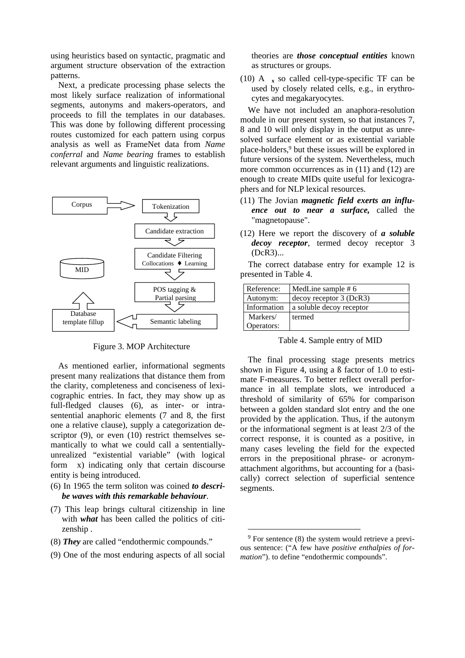using heuristics based on syntactic, pragmatic and argument structure observation of the extraction patterns.

Next, a predicate processing phase selects the most likely surface realization of informational segments, autonyms and makers-operators, and proceeds to fill the templates in our databases. This was done by following different processing routes customized for each pattern using corpus analysis as well as FrameNet data from *Name conferral* and *Name bearing* frames to establish relevant arguments and linguistic realizations.



Figure 3. MOP Architecture

As mentioned earlier, informational segments present many realizations that distance them from the clarity, completeness and conciseness of lexicographic entries. In fact, they may show up as full-fledged clauses (6), as inter- or intrasentential anaphoric elements (7 and 8, the first one a relative clause), supply a categorization descriptor (9), or even (10) restrict themselves semantically to what we could call a sententiallyunrealized "existential variable" (with logical form x) indicating only that certain discourse entity is being introduced.

- (6) In 1965 the term soliton was coined *to describe waves with this remarkable behaviour*.
- (7) This leap brings cultural citizenship in line with *what* has been called the politics of citizenship .
- (8) *They* are called "endothermic compounds."
- (9) One of the most enduring aspects of all social

theories are *those conceptual entities* known as structures or groups.

(10) A  $\bar{x}$  so called cell-type-specific TF can be used by closely related cells, e.g., in erythrocytes and megakaryocytes.

We have not included an anaphora-resolution module in our present system, so that instances 7, 8 and 10 will only display in the output as unresolved surface element or as existential variable place-holders,<sup>9</sup> but these issues will be explored in future versions of the system. Nevertheless, much more common occurrences as in (11) and (12) are enough to create MIDs quite useful for lexicographers and for NLP lexical resources.

- (11) The Jovian *magnetic field exerts an influence out to near a surface,* called the "magnetopause".
- (12) Here we report the discovery of *a soluble decoy receptor*, termed decoy receptor 3 (DcR3)...

The correct database entry for example 12 is presented in Table 4.

| Reference:  | MedLine sample #6         |  |  |  |
|-------------|---------------------------|--|--|--|
| Autonym:    | $decoy$ receptor 3 (DcR3) |  |  |  |
| Information | a soluble decoy receptor  |  |  |  |
| Markers/    | termed                    |  |  |  |
| Operators:  |                           |  |  |  |

#### Table 4. Sample entry of MID

The final processing stage presents metrics shown in Figure 4, using a ß factor of 1.0 to estimate F-measures. To better reflect overall performance in all template slots, we introduced a threshold of similarity of 65% for comparison between a golden standard slot entry and the one provided by the application. Thus, if the autonym or the informational segment is at least 2/3 of the correct response, it is counted as a positive, in many cases leveling the field for the expected errors in the prepositional phrase- or acronymattachment algorithms, but accounting for a (basically) correct selection of superficial sentence segments.

 $\overline{a}$ 

<sup>&</sup>lt;sup>9</sup> For sentence (8) the system would retrieve a previous sentence: ("A few have *positive enthalpies of formation*"). to define "endothermic compounds".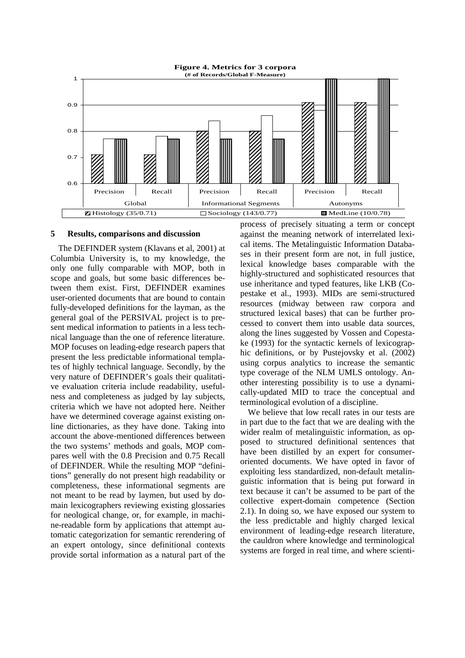

#### **5 Results, comparisons and discussion**

The DEFINDER system (Klavans et al, 2001) at Columbia University is, to my knowledge, the only one fully comparable with MOP, both in scope and goals, but some basic differences between them exist. First, DEFINDER examines user-oriented documents that are bound to contain fully-developed definitions for the layman, as the general goal of the PERSIVAL project is to present medical information to patients in a less technical language than the one of reference literature. MOP focuses on leading-edge research papers that present the less predictable informational templates of highly technical language. Secondly, by the very nature of DEFINDER's goals their qualitative evaluation criteria include readability, usefulness and completeness as judged by lay subjects, criteria which we have not adopted here. Neither have we determined coverage against existing online dictionaries, as they have done. Taking into account the above-mentioned differences between the two systems' methods and goals, MOP compares well with the 0.8 Precision and 0.75 Recall of DEFINDER. While the resulting MOP "definitions" generally do not present high readability or completeness, these informational segments are not meant to be read by laymen, but used by domain lexicographers reviewing existing glossaries for neological change, or, for example, in machine-readable form by applications that attempt automatic categorization for semantic rerendering of an expert ontology, since definitional contexts provide sortal information as a natural part of the

process of precisely situating a term or concept against the meaning network of interrelated lexical items. The Metalinguistic Information Databases in their present form are not, in full justice, lexical knowledge bases comparable with the highly-structured and sophisticated resources that use inheritance and typed features, like LKB (Copestake et al., 1993). MIDs are semi-structured resources (midway between raw corpora and structured lexical bases) that can be further processed to convert them into usable data sources, along the lines suggested by Vossen and Copestake (1993) for the syntactic kernels of lexicographic definitions, or by Pustejovsky et al. (2002) using corpus analytics to increase the semantic type coverage of the NLM UMLS ontology. Another interesting possibility is to use a dynamically-updated MID to trace the conceptual and terminological evolution of a discipline.

We believe that low recall rates in our tests are in part due to the fact that we are dealing with the wider realm of metalinguistic information, as opposed to structured definitional sentences that have been distilled by an expert for consumeroriented documents. We have opted in favor of exploiting less standardized, non-default metalinguistic information that is being put forward in text because it can't be assumed to be part of the collective expert-domain competence (Section 2.1). In doing so, we have exposed our system to the less predictable and highly charged lexical environment of leading-edge research literature, the cauldron where knowledge and terminological systems are forged in real time, and where scienti